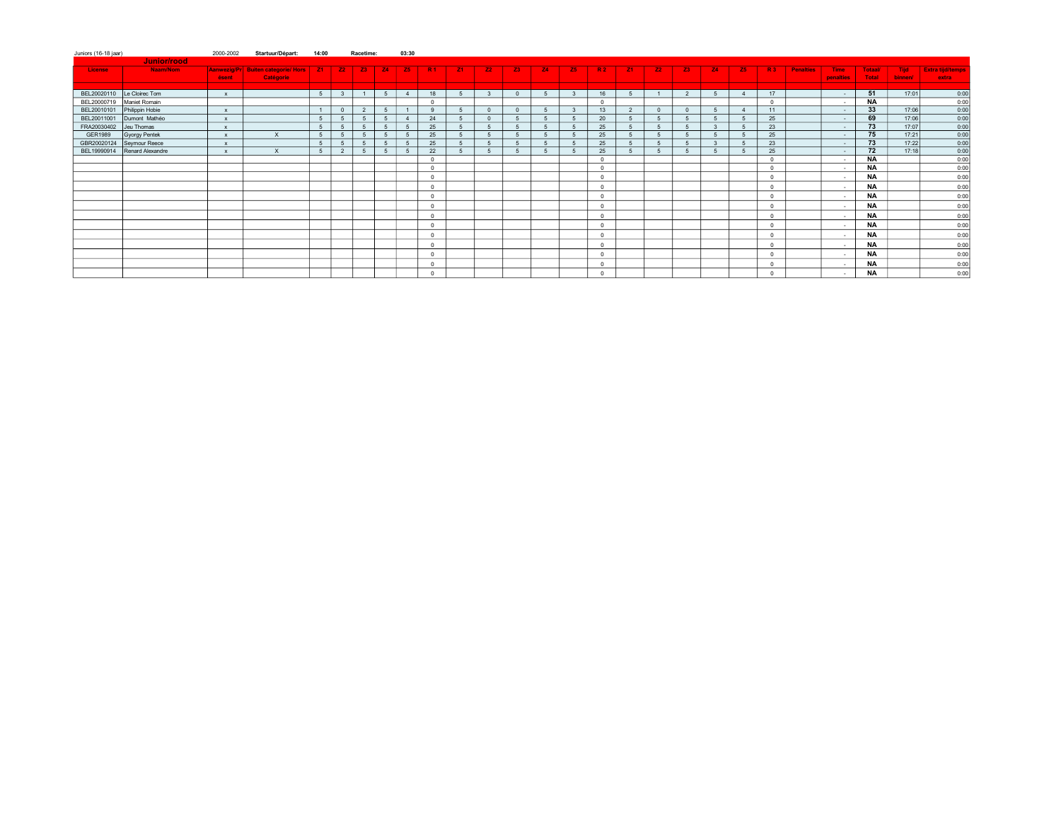| Juniors (16-18 jaar) |                  | 2000-2002                 | Startuur/Départ:                                     | 14:00 |                         | Racetime:      |             | 03:30          |              |           |              |            |           |           |                |                |           |                |           |                |                |                  |                          |                         |                  |                                  |
|----------------------|------------------|---------------------------|------------------------------------------------------|-------|-------------------------|----------------|-------------|----------------|--------------|-----------|--------------|------------|-----------|-----------|----------------|----------------|-----------|----------------|-----------|----------------|----------------|------------------|--------------------------|-------------------------|------------------|----------------------------------|
|                      | Junior/rood      |                           |                                                      |       |                         |                |             |                |              |           |              |            |           |           |                |                |           |                |           |                |                |                  |                          |                         |                  |                                  |
| License              | Naam/Nom         | ésent                     | Aanwezig/Pr Buiten categorie/ Hors   Z1<br>Catégorie |       | Z2                      | Z3             | $\vert$ 24  | <b>Z5</b>      | -R1          | <b>Z1</b> | <b>Z2</b>    | <b>Z3</b>  | <b>Z4</b> | <b>Z5</b> | -R2            | <b>Z1</b>      | <b>Z2</b> | <b>Z3</b>      | <b>Z4</b> | <b>Z5</b>      | <b>R3</b>      | <b>Penalties</b> | <b>Time</b><br>penalties | <b>Totaal/</b><br>Total | Tiid:<br>binnen/ | <b>Extra tijd/temps</b><br>extra |
|                      |                  |                           |                                                      |       |                         |                |             |                |              |           |              |            |           |           |                |                |           |                |           |                |                |                  |                          |                         |                  |                                  |
| BEL20020110          | Le Cloirec Tom   | $\mathbf{x}$              |                                                      | 5     | $\overline{\mathbf{3}}$ | $\overline{1}$ | 5           | $\overline{4}$ | 18           | 5         | $\mathbf{3}$ | $\Omega$   | 5         |           | 16             |                |           | 2              | -5        | $\overline{4}$ | 17             |                  | $\sim$ 100 $\mu$         | 51                      | 17:01            | 0:00                             |
| BEL20000719          | Maniet Romain    |                           |                                                      |       |                         |                |             |                | $\Omega$     |           |              | $\sqrt{2}$ |           |           | $\overline{0}$ |                | $\Omega$  |                |           |                | $\Omega$       |                  | $\sim$                   | <b>NA</b>               |                  | 0:00                             |
| BEL20010101          | Philippin Hobie  | $\mathbf{x}$              |                                                      |       | $\Omega$                | $\overline{2}$ | 5           |                | $\mathbf{q}$ |           |              |            |           |           | 13             | 2              |           | $\Omega$       |           |                | 11             |                  | $\sim$                   | 33                      | 17:06            | 0:00                             |
| BEL20011001          | Dumont Mathéo    | $\mathbf{x}$              |                                                      | 5     | 5                       | 5              | 5           | $\overline{4}$ | 24           | -5        | $\Omega$     |            | 5         |           | 20             | 5              | -5        | 5              |           |                | 25             |                  | $\sim$                   | 69                      | 17:06            | 0:00                             |
| FRA20030402          | Jeu Thomas       | $\boldsymbol{\mathsf{x}}$ |                                                      | 5     | 5                       | 5              | 5           | - 5            | 25           |           |              |            | 5         |           | 25             |                |           | 5              |           |                | 23             |                  | $\sim$                   | 73                      | 17:07            | 0:00                             |
| GER1989              | Gyorgy Pentek    | $\mathbf{x}$              | $\times$                                             | 5     | 5                       | 5              | 5           | 5              | 25           |           |              |            |           |           | 25             |                |           | $\overline{5}$ |           |                | 25             |                  | $\sim$                   | 75                      | 17:21            | 0:00                             |
| GBR20020124          | Seymour Reece    | $\mathbf{x}$              |                                                      | 5     | 5                       | 5              | 5           | 5              | 25           |           |              |            | 5         |           | 25             | $\overline{5}$ |           | $\overline{5}$ |           |                | 23             |                  | $\sim$                   | 73                      | 17:22            | 0:00                             |
| BEL19990914          | Renard Alexandre | $\mathbf{x}$              | $\times$                                             | 5     | $\overline{2}$          | 5              | $5^{\circ}$ |                | 22           |           |              |            | 5         |           | 25             |                |           | $\overline{a}$ |           |                | 25             |                  | $\sim$                   | 72                      | 17:18            | 0:00                             |
|                      |                  |                           |                                                      |       |                         |                |             |                | $\Omega$     |           |              |            |           |           | $\overline{0}$ |                |           |                |           |                | $\Omega$       |                  | $\sim$                   | <b>NA</b><br>NA         |                  | 0:00                             |
|                      |                  |                           |                                                      |       |                         |                |             |                | $\Omega$     |           |              |            |           |           | $\overline{0}$ |                |           |                |           |                | $\Omega$       |                  | $\sim$                   |                         |                  | 0:00                             |
|                      |                  |                           |                                                      |       |                         |                |             |                | $^{\circ}$   |           |              |            |           |           | $\mathbf{0}$   |                |           |                |           |                | $\Omega$       |                  | $\sim$                   | <b>NA</b>               |                  | 0:00                             |
|                      |                  |                           |                                                      |       |                         |                |             |                | $^{\circ}$   |           |              |            |           |           | $\circ$        |                |           |                |           |                | $\overline{0}$ |                  | $\sim$                   | <b>NA</b>               |                  | 0:00                             |
|                      |                  |                           |                                                      |       |                         |                |             |                | $\Omega$     |           |              |            |           |           | $\Omega$       |                |           |                |           |                | $\Omega$       |                  | $\sim$                   | <b>NA</b>               |                  | 0:00                             |
|                      |                  |                           |                                                      |       |                         |                |             |                | $\Omega$     |           |              |            |           |           | $\Omega$       |                |           |                |           |                | $\Omega$       |                  | $\sim$                   | <b>NA</b>               |                  | 0:00                             |
|                      |                  |                           |                                                      |       |                         |                |             |                | $\Omega$     |           |              |            |           |           | $\mathbf{0}$   |                |           |                |           |                | $\Omega$       |                  | $\sim$                   | <b>NA</b>               |                  | 0:00                             |
|                      |                  |                           |                                                      |       |                         |                |             |                | $^{\circ}$   |           |              |            |           |           | $^{\circ}$     |                |           |                |           |                | $\overline{0}$ |                  | $\sim$                   | <b>NA</b>               |                  | 0:00                             |
|                      |                  |                           |                                                      |       |                         |                |             |                | $^{\circ}$   |           |              |            |           |           | $\mathbf{0}$   |                |           |                |           |                | $\Omega$       |                  | $\sim$                   | NA                      |                  | 0:00                             |
|                      |                  |                           |                                                      |       |                         |                |             |                | $^{\circ}$   |           |              |            |           |           | $^{\circ}$     |                |           |                |           |                | $\Omega$       |                  | $\sim$                   | <b>NA</b>               |                  | 0:00                             |
|                      |                  |                           |                                                      |       |                         |                |             |                | $^{\circ}$   |           |              |            |           |           | $\overline{0}$ |                |           |                |           |                | $\Omega$       |                  | $\sim$                   | <b>NA</b>               |                  | 0:00                             |
|                      |                  |                           |                                                      |       |                         |                |             |                | $^{\circ}$   |           |              |            |           |           | $\overline{0}$ |                |           |                |           |                | $\Omega$       |                  | $\sim$                   | <b>NA</b>               |                  | 0:00                             |
|                      |                  |                           |                                                      |       |                         |                |             |                | $\Omega$     |           |              |            |           |           | $\Omega$       |                |           |                |           |                |                |                  | $\sim$                   | <b>NA</b>               |                  | 0:00                             |